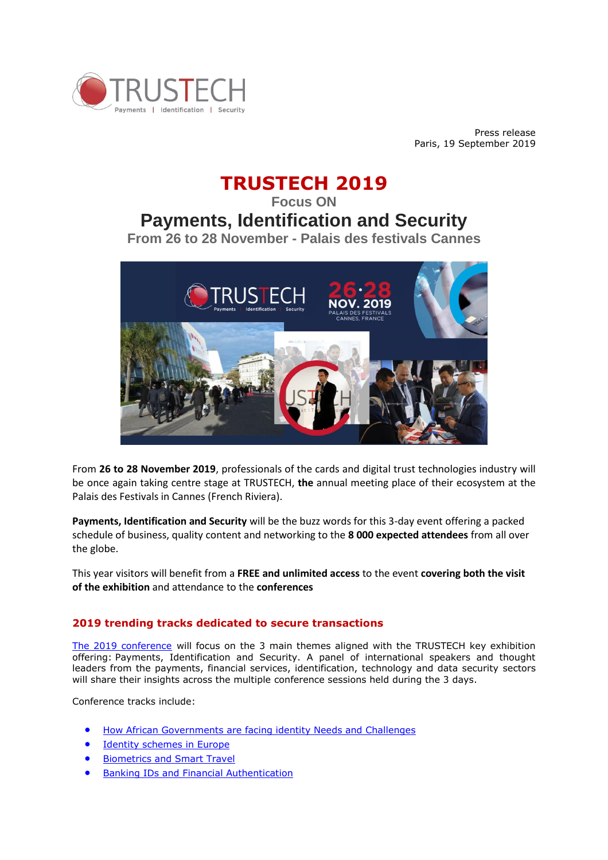

Press release Paris, 19 September 2019

# **TRUSTECH 2019**

**Focus ON**

## **Payments, Identification and Security**

**From 26 to 28 November - Palais des festivals Cannes**



From **26 to 28 November 2019**, professionals of the cards and digital trust technologies industry will be once again taking centre stage at TRUSTECH, **the** annual meeting place of their ecosystem at the Palais des Festivals in Cannes (French Riviera).

**Payments, Identification and Security** will be the buzz words for this 3-day event offering a packed schedule of business, quality content and networking to the **8 000 expected attendees** from all over the globe.

This year visitors will benefit from a **FREE and unlimited access** to the event **covering both the visit of the exhibition** and attendance to the **conferences**

### **2019 trending tracks dedicated to secure transactions**

The 2019 conference will focus on the 3 main themes aligned with the TRUSTECH key exhibition offering: Payments, Identification and Security. A panel of international speakers and thought leaders from the payments, financial services, identification, technology and data security sectors will share their insights across the multiple conference sessions held during the 3 days.

Conference tracks include:

- [How African Governments are facing identity Needs and Challenges](https://www.trustech-event.com/Programme2/2019-Conference-Programme#track1)
- [Identity schemes in Europe](https://www.trustech-event.com/Programme2/2019-Conference-Programme#track2)
- [Biometrics and Smart Travel](https://www.trustech-event.com/Programme2/2019-Conference-Programme#track3)
- **•** [Banking IDs and Financial Authentication](https://www.trustech-event.com/Programme2/2019-Conference-Programme#track4)